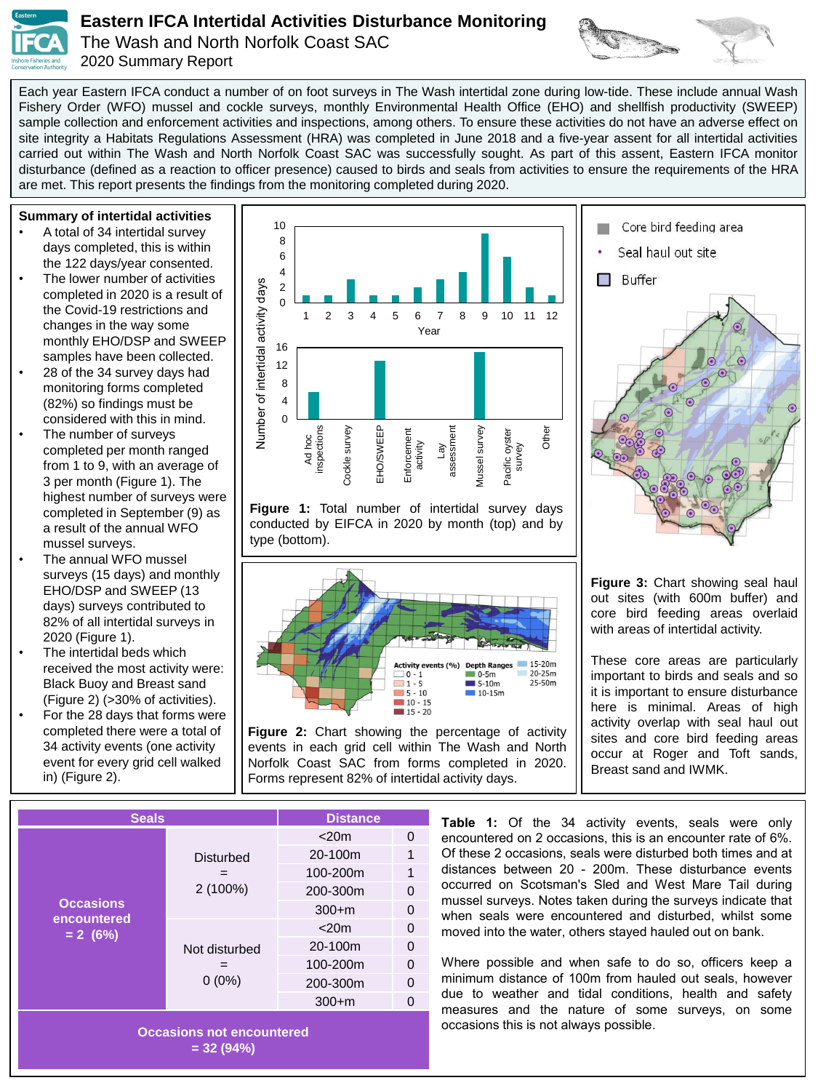

## **Eastern IFCA Intertidal Activities Disturbance Monitoring**

The Wash and North Norfolk Coast SAC 2020 Summary Report



Each year Eastern IFCA conduct a number of on foot surveys in The Wash intertidal zone during low-tide. These include annual Wash Fishery Order (WFO) mussel and cockle surveys, monthly Environmental Health Office (EHO) and shellfish productivity (SWEEP) sample collection and enforcement activities and inspections, among others. To ensure these activities do not have an adverse effect on site integrity a Habitats Regulations Assessment (HRA) was completed in June 2018 and a five-year assent for all intertidal activities carried out within The Wash and North Norfolk Coast SAC was successfully sought. As part of this assent, Eastern IFCA monitor disturbance (defined as a reaction to officer presence) caused to birds and seals from activities to ensure the requirements of the HRA are met. This report presents the findings from the monitoring completed during 2020.

**Summary of intertidal activities** 

- A total of 34 intertidal survey days completed, this is within the 122 days/year consented.
- The lower number of activities completed in 2020 is a result of the Covid-19 restrictions and changes in the way some monthly EHO/DSP and SWEEP samples have been collected.
- 28 of the 34 survey days had monitoring forms completed (82%) so findings must be considered with this in mind.
- The number of surveys completed per month ranged from 1 to 9, with an average of 3 per month (Figure 1). The highest number of surveys were completed in September (9) as a result of the annual WFO mussel surveys.
- The annual WFO mussel surveys (15 days) and monthly EHO/DSP and SWEEP (13 days) surveys contributed to 82% of all intertidal surveys in 2020 (Figure 1).
- The intertidal beds which received the most activity were: Black Buoy and Breast sand (Figure 2) (>30% of activities).
- For the 28 days that forms were completed there were a total of 34 activity events (one activity event for every grid cell walked in) (Figure 2).



**Figure 1:** Total number of intertidal survey days conducted by EIFCA in 2020 by month (top) and by



events in each grid cell within The Wash and North Norfolk Coast SAC from forms completed in 2020. Forms represent 82% of intertidal activity days.



**Figure 3:** Chart showing seal haul out sites (with 600m buffer) and core bird feeding areas overlaid with areas of intertidal activity.

These core areas are particularly important to birds and seals and so it is important to ensure disturbance here is minimal. Areas of high activity overlap with seal haul out sites and core bird feeding areas occur at Roger and Toft sands, Breast sand and IWMK.

| <b>Seals</b>                                  |                                | <b>Distance</b> |              |
|-----------------------------------------------|--------------------------------|-----------------|--------------|
| <b>Occasions</b><br>encountered<br>$= 2 (6%)$ | <b>Disturbed</b><br>$2(100\%)$ | $<$ 20 $m$      |              |
|                                               |                                | 20-100m         |              |
|                                               |                                | 100-200m        |              |
|                                               |                                | 200-300m        | O            |
|                                               |                                | $300 + m$       |              |
|                                               | Not disturbed<br>$0(0\%)$      | $<$ 20 $m$      | 0            |
|                                               |                                | 20-100m         | 0            |
|                                               |                                | 100-200m        | <sup>0</sup> |
|                                               |                                | 200-300m        | O            |
|                                               |                                | $300 + m$       |              |

**Table 1:** Of the 34 activity events, seals were only encountered on 2 occasions, this is an encounter rate of 6%. Of these 2 occasions, seals were disturbed both times and at distances between 20 - 200m. These disturbance events occurred on Scotsman's Sled and West Mare Tail during mussel surveys. Notes taken during the surveys indicate that when seals were encountered and disturbed, whilst some moved into the water, others stayed hauled out on bank.

Where possible and when safe to do so, officers keep a minimum distance of 100m from hauled out seals, however due to weather and tidal conditions, health and safety measures and the nature of some surveys, on some occasions this is not always possible.

**Occasions not encountered = 32 (94%)**